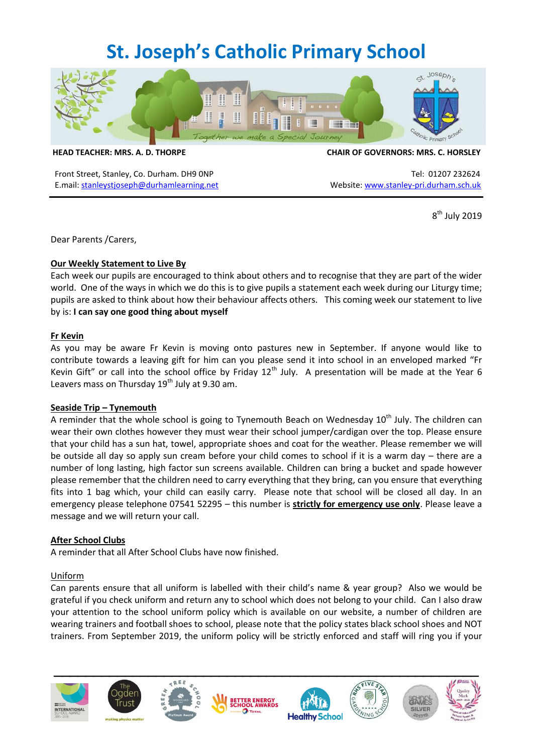# **St. Joseph's Catholic Primary School**



**HEAD TEACHER: MRS. A. D. THORPE CHAIR OF GOVERNORS: MRS. C. HORSLEY**

Front Street, Stanley, Co. Durham. DH9 0NP Tel: 01207 232624 E.mail: [stanleystjoseph@durhamlearning.net](mailto:stanleystjoseph@durhamlearning.net) Website[: www.stanley-pri.durham.sch.uk](http://www.stanley-pri.durham.sch.uk/)

8 th July 2019

Dear Parents /Carers,

# **Our Weekly Statement to Live By**

Each week our pupils are encouraged to think about others and to recognise that they are part of the wider world. One of the ways in which we do this is to give pupils a statement each week during our Liturgy time; pupils are asked to think about how their behaviour affects others. This coming week our statement to live by is: **I can say one good thing about myself**

#### **Fr Kevin**

As you may be aware Fr Kevin is moving onto pastures new in September. If anyone would like to contribute towards a leaving gift for him can you please send it into school in an enveloped marked "Fr Kevin Gift" or call into the school office by Friday  $12<sup>th</sup>$  July. A presentation will be made at the Year 6 Leavers mass on Thursday  $19<sup>th</sup>$  July at 9.30 am.

#### **Seaside Trip – Tynemouth**

A reminder that the whole school is going to Tynemouth Beach on Wednesday  $10<sup>th</sup>$  July. The children can wear their own clothes however they must wear their school jumper/cardigan over the top. Please ensure that your child has a sun hat, towel, appropriate shoes and coat for the weather. Please remember we will be outside all day so apply sun cream before your child comes to school if it is a warm day – there are a number of long lasting, high factor sun screens available. Children can bring a bucket and spade however please remember that the children need to carry everything that they bring, can you ensure that everything fits into 1 bag which, your child can easily carry. Please note that school will be closed all day. In an emergency please telephone 07541 52295 – this number is **strictly for emergency use only**. Please leave a message and we will return your call.

# **After School Clubs**

A reminder that all After School Clubs have now finished.

#### Uniform

Can parents ensure that all uniform is labelled with their child's name & year group? Also we would be grateful if you check uniform and return any to school which does not belong to your child. Can I also draw your attention to the school uniform policy which is available on our website, a number of children are wearing trainers and football shoes to school, please note that the policy states black school shoes and NOT trainers. From September 2019, the uniform policy will be strictly enforced and staff will ring you if your













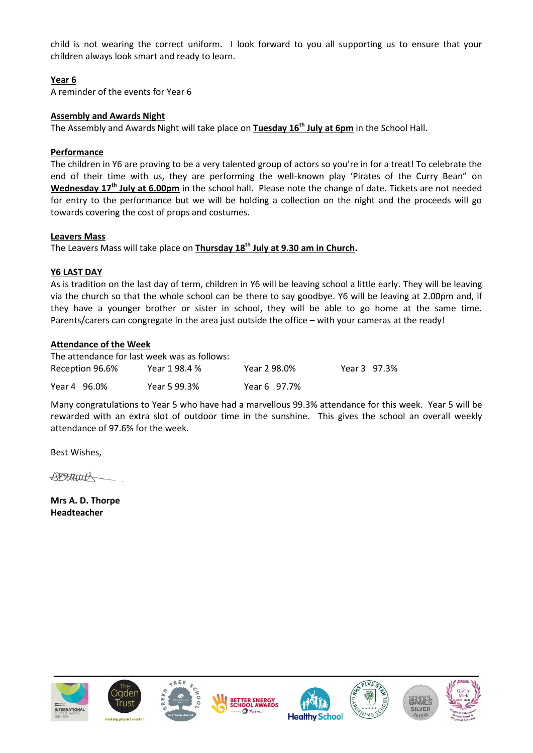child is not wearing the correct uniform. I look forward to you all supporting us to ensure that your children always look smart and ready to learn.

# **Year 6**

A reminder of the events for Year 6

#### **Assembly and Awards Night**

The Assembly and Awards Night will take place on **Tuesday 16th July at 6pm** in the School Hall.

#### **Performance**

The children in Y6 are proving to be a very talented group of actors so you're in for a treat! To celebrate the end of their time with us, they are performing the well-known play 'Pirates of the Curry Bean" on **Wednesday 17th July at 6.00pm** in the school hall. Please note the change of date. Tickets are not needed for entry to the performance but we will be holding a collection on the night and the proceeds will go towards covering the cost of props and costumes.

#### **Leavers Mass**

The Leavers Mass will take place on **Thursday 18th July at 9.30 am in Church.**

#### **Y6 LAST DAY**

As is tradition on the last day of term, children in Y6 will be leaving school a little early. They will be leaving via the church so that the whole school can be there to say goodbye. Y6 will be leaving at 2.00pm and, if they have a younger brother or sister in school, they will be able to go home at the same time. Parents/carers can congregate in the area just outside the office – with your cameras at the ready!

#### **Attendance of the Week**

| The attendance for last week was as follows: |               |              |              |  |
|----------------------------------------------|---------------|--------------|--------------|--|
| Reception 96.6%                              | Year 1 98.4 % | Year 2 98.0% | Year 3 97.3% |  |
| Year 4 96.0%                                 | Year 5 99.3%  | Year 6 97.7% |              |  |

Many congratulations to Year 5 who have had a marvellous 99.3% attendance for this week. Year 5 will be rewarded with an extra slot of outdoor time in the sunshine. This gives the school an overall weekly attendance of 97.6% for the week.

Best Wishes,

DOTHELL

**Mrs A. D. Thorpe Headteacher**